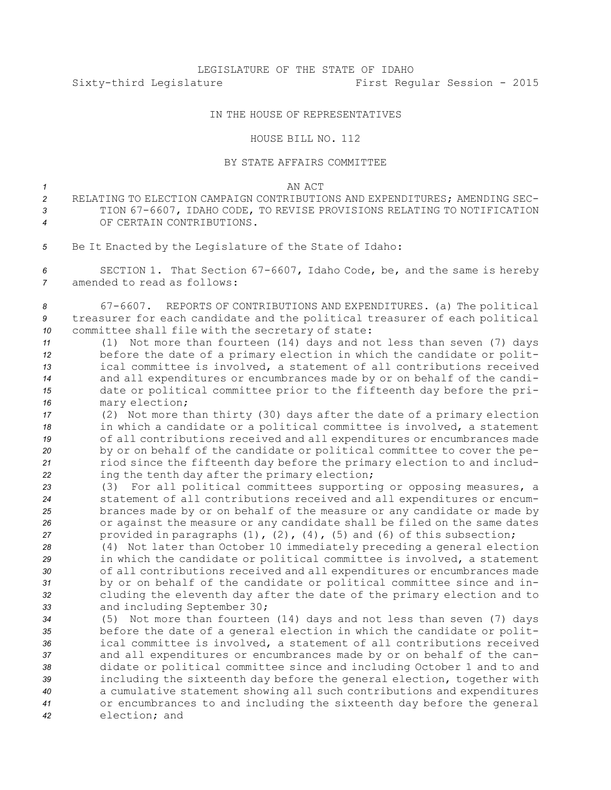## IN THE HOUSE OF REPRESENTATIVES

## HOUSE BILL NO. 112

## BY STATE AFFAIRS COMMITTEE

*1* AN ACT

- *2* RELATING TO ELECTION CAMPAIGN CONTRIBUTIONS AND EXPENDITURES; AMENDING SEC-*<sup>3</sup>* TION 67-6607, IDAHO CODE, TO REVISE PROVISIONS RELATING TO NOTIFICATION *4* OF CERTAIN CONTRIBUTIONS.
- *<sup>5</sup>* Be It Enacted by the Legislature of the State of Idaho:

*<sup>6</sup>* SECTION 1. That Section 67-6607, Idaho Code, be, and the same is hereby *7* amended to read as follows:

*<sup>8</sup>* 67-6607. REPORTS OF CONTRIBUTIONS AND EXPENDITURES. (a) The political *<sup>9</sup>* treasurer for each candidate and the political treasurer of each political *<sup>10</sup>* committee shall file with the secretary of state:

- *<sup>11</sup>* (1) Not more than fourteen (14) days and not less than seven (7) days *<sup>12</sup>* before the date of <sup>a</sup> primary election in which the candidate or polit-*<sup>13</sup>* ical committee is involved, <sup>a</sup> statement of all contributions received *<sup>14</sup>* and all expenditures or encumbrances made by or on behalf of the candi-*<sup>15</sup>* date or political committee prior to the fifteenth day before the pri-*<sup>16</sup>* mary election;
- *<sup>17</sup>* (2) Not more than thirty (30) days after the date of <sup>a</sup> primary election *<sup>18</sup>* in which <sup>a</sup> candidate or <sup>a</sup> political committee is involved, <sup>a</sup> statement *<sup>19</sup>* of all contributions received and all expenditures or encumbrances made *<sup>20</sup>* by or on behalf of the candidate or political committee to cover the pe-*<sup>21</sup>* riod since the fifteenth day before the primary election to and includ-*<sup>22</sup>* ing the tenth day after the primary election;
- *<sup>23</sup>* (3) For all political committees supporting or opposing measures, <sup>a</sup> *<sup>24</sup>* statement of all contributions received and all expenditures or encum-*<sup>25</sup>* brances made by or on behalf of the measure or any candidate or made by *<sup>26</sup>* or against the measure or any candidate shall be filed on the same dates *<sup>27</sup>* provided in paragraphs (1), (2), (4), (5) and (6) of this subsection;
- *<sup>28</sup>* (4) Not later than October 10 immediately preceding <sup>a</sup> general election *<sup>29</sup>* in which the candidate or political committee is involved, <sup>a</sup> statement *<sup>30</sup>* of all contributions received and all expenditures or encumbrances made *<sup>31</sup>* by or on behalf of the candidate or political committee since and in-*<sup>32</sup>* cluding the eleventh day after the date of the primary election and to *<sup>33</sup>* and including September 30;
- *<sup>34</sup>* (5) Not more than fourteen (14) days and not less than seven (7) days *<sup>35</sup>* before the date of <sup>a</sup> general election in which the candidate or polit-*<sup>36</sup>* ical committee is involved, <sup>a</sup> statement of all contributions received *<sup>37</sup>* and all expenditures or encumbrances made by or on behalf of the can-*<sup>38</sup>* didate or political committee since and including October 1 and to and *<sup>39</sup>* including the sixteenth day before the general election, together with *<sup>40</sup>* <sup>a</sup> cumulative statement showing all such contributions and expenditures *<sup>41</sup>* or encumbrances to and including the sixteenth day before the general *42* election; and